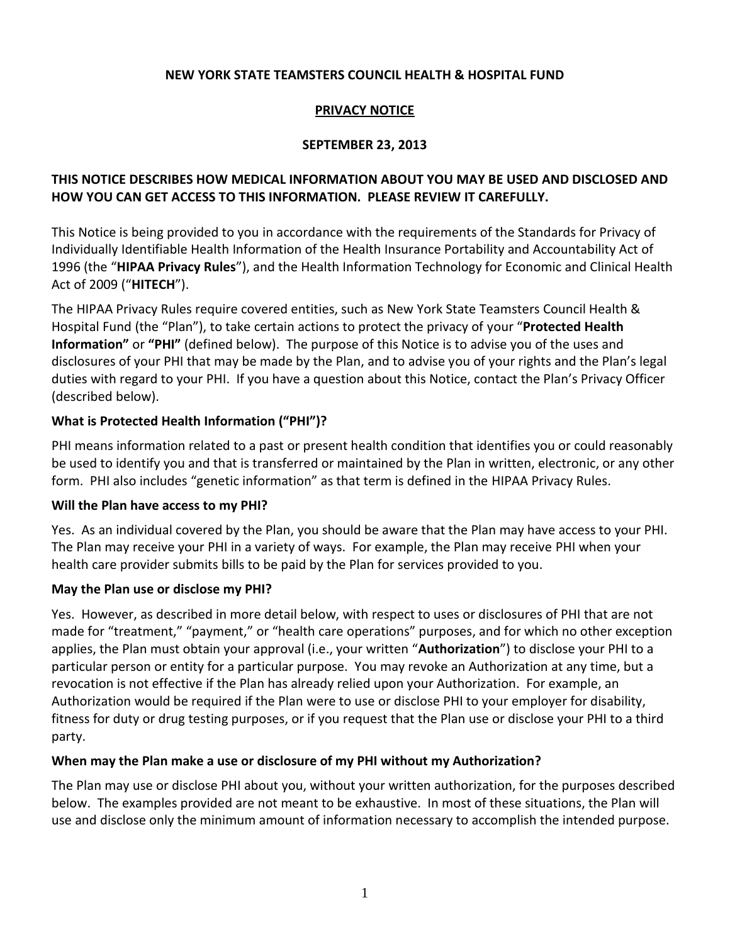#### **NEW YORK STATE TEAMSTERS COUNCIL HEALTH & HOSPITAL FUND**

#### **PRIVACY NOTICE**

#### **SEPTEMBER 23, 2013**

## **THIS NOTICE DESCRIBES HOW MEDICAL INFORMATION ABOUT YOU MAY BE USED AND DISCLOSED AND HOW YOU CAN GET ACCESS TO THIS INFORMATION. PLEASE REVIEW IT CAREFULLY.**

This Notice is being provided to you in accordance with the requirements of the Standards for Privacy of Individually Identifiable Health Information of the Health Insurance Portability and Accountability Act of 1996 (the "**HIPAA Privacy Rules**"), and the Health Information Technology for Economic and Clinical Health Act of 2009 ("**HITECH**").

The HIPAA Privacy Rules require covered entities, such as New York State Teamsters Council Health & Hospital Fund (the "Plan"), to take certain actions to protect the privacy of your "**Protected Health Information"** or **"PHI"** (defined below). The purpose of this Notice is to advise you of the uses and disclosures of your PHI that may be made by the Plan, and to advise you of your rights and the Plan's legal duties with regard to your PHI. If you have a question about this Notice, contact the Plan's Privacy Officer (described below).

#### **What is Protected Health Information ("PHI")?**

PHI means information related to a past or present health condition that identifies you or could reasonably be used to identify you and that is transferred or maintained by the Plan in written, electronic, or any other form. PHI also includes "genetic information" as that term is defined in the HIPAA Privacy Rules.

#### **Will the Plan have access to my PHI?**

Yes. As an individual covered by the Plan, you should be aware that the Plan may have access to your PHI. The Plan may receive your PHI in a variety of ways. For example, the Plan may receive PHI when your health care provider submits bills to be paid by the Plan for services provided to you.

### **May the Plan use or disclose my PHI?**

Yes. However, as described in more detail below, with respect to uses or disclosures of PHI that are not made for "treatment," "payment," or "health care operations" purposes, and for which no other exception applies, the Plan must obtain your approval (i.e., your written "**Authorization**") to disclose your PHI to a particular person or entity for a particular purpose. You may revoke an Authorization at any time, but a revocation is not effective if the Plan has already relied upon your Authorization. For example, an Authorization would be required if the Plan were to use or disclose PHI to your employer for disability, fitness for duty or drug testing purposes, or if you request that the Plan use or disclose your PHI to a third party.

#### **When may the Plan make a use or disclosure of my PHI without my Authorization?**

The Plan may use or disclose PHI about you, without your written authorization, for the purposes described below. The examples provided are not meant to be exhaustive. In most of these situations, the Plan will use and disclose only the minimum amount of information necessary to accomplish the intended purpose.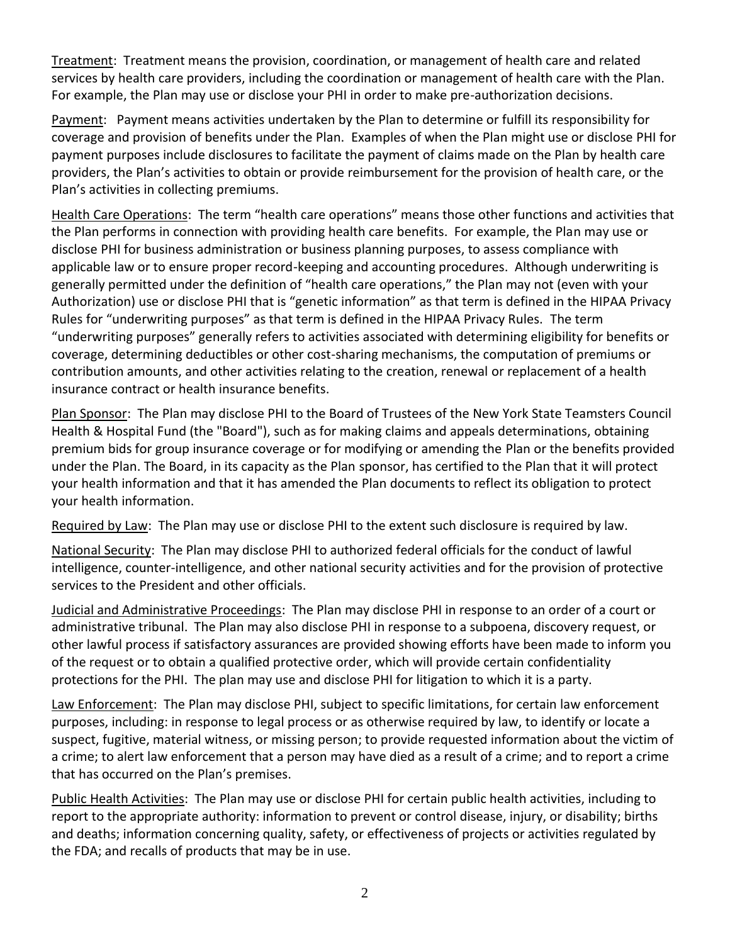Treatment: Treatment means the provision, coordination, or management of health care and related services by health care providers, including the coordination or management of health care with the Plan. For example, the Plan may use or disclose your PHI in order to make pre-authorization decisions.

Payment: Payment means activities undertaken by the Plan to determine or fulfill its responsibility for coverage and provision of benefits under the Plan. Examples of when the Plan might use or disclose PHI for payment purposes include disclosures to facilitate the payment of claims made on the Plan by health care providers, the Plan's activities to obtain or provide reimbursement for the provision of health care, or the Plan's activities in collecting premiums.

Health Care Operations: The term "health care operations" means those other functions and activities that the Plan performs in connection with providing health care benefits. For example, the Plan may use or disclose PHI for business administration or business planning purposes, to assess compliance with applicable law or to ensure proper record-keeping and accounting procedures. Although underwriting is generally permitted under the definition of "health care operations," the Plan may not (even with your Authorization) use or disclose PHI that is "genetic information" as that term is defined in the HIPAA Privacy Rules for "underwriting purposes" as that term is defined in the HIPAA Privacy Rules. The term "underwriting purposes" generally refers to activities associated with determining eligibility for benefits or coverage, determining deductibles or other cost-sharing mechanisms, the computation of premiums or contribution amounts, and other activities relating to the creation, renewal or replacement of a health insurance contract or health insurance benefits.

Plan Sponsor: The Plan may disclose PHI to the Board of Trustees of the New York State Teamsters Council Health & Hospital Fund (the "Board"), such as for making claims and appeals determinations, obtaining premium bids for group insurance coverage or for modifying or amending the Plan or the benefits provided under the Plan. The Board, in its capacity as the Plan sponsor, has certified to the Plan that it will protect your health information and that it has amended the Plan documents to reflect its obligation to protect your health information.

Required by Law: The Plan may use or disclose PHI to the extent such disclosure is required by law.

National Security: The Plan may disclose PHI to authorized federal officials for the conduct of lawful intelligence, counter-intelligence, and other national security activities and for the provision of protective services to the President and other officials.

Judicial and Administrative Proceedings: The Plan may disclose PHI in response to an order of a court or administrative tribunal. The Plan may also disclose PHI in response to a subpoena, discovery request, or other lawful process if satisfactory assurances are provided showing efforts have been made to inform you of the request or to obtain a qualified protective order, which will provide certain confidentiality protections for the PHI. The plan may use and disclose PHI for litigation to which it is a party.

Law Enforcement: The Plan may disclose PHI, subject to specific limitations, for certain law enforcement purposes, including: in response to legal process or as otherwise required by law, to identify or locate a suspect, fugitive, material witness, or missing person; to provide requested information about the victim of a crime; to alert law enforcement that a person may have died as a result of a crime; and to report a crime that has occurred on the Plan's premises.

Public Health Activities: The Plan may use or disclose PHI for certain public health activities, including to report to the appropriate authority: information to prevent or control disease, injury, or disability; births and deaths; information concerning quality, safety, or effectiveness of projects or activities regulated by the FDA; and recalls of products that may be in use.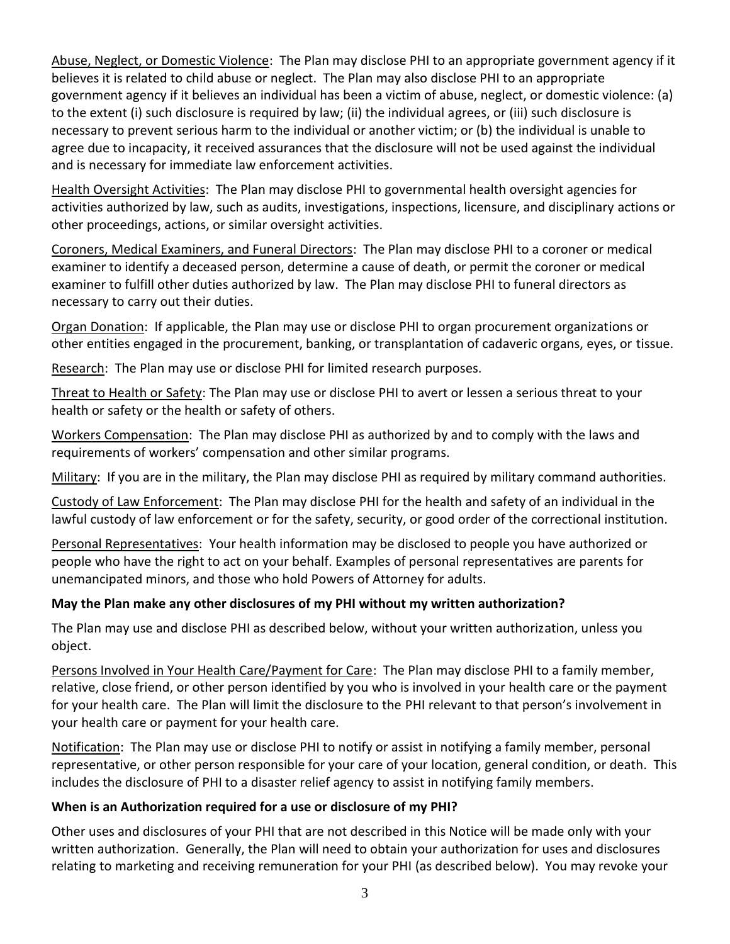Abuse, Neglect, or Domestic Violence: The Plan may disclose PHI to an appropriate government agency if it believes it is related to child abuse or neglect. The Plan may also disclose PHI to an appropriate government agency if it believes an individual has been a victim of abuse, neglect, or domestic violence: (a) to the extent (i) such disclosure is required by law; (ii) the individual agrees, or (iii) such disclosure is necessary to prevent serious harm to the individual or another victim; or (b) the individual is unable to agree due to incapacity, it received assurances that the disclosure will not be used against the individual and is necessary for immediate law enforcement activities.

Health Oversight Activities: The Plan may disclose PHI to governmental health oversight agencies for activities authorized by law, such as audits, investigations, inspections, licensure, and disciplinary actions or other proceedings, actions, or similar oversight activities.

Coroners, Medical Examiners, and Funeral Directors: The Plan may disclose PHI to a coroner or medical examiner to identify a deceased person, determine a cause of death, or permit the coroner or medical examiner to fulfill other duties authorized by law. The Plan may disclose PHI to funeral directors as necessary to carry out their duties.

Organ Donation: If applicable, the Plan may use or disclose PHI to organ procurement organizations or other entities engaged in the procurement, banking, or transplantation of cadaveric organs, eyes, or tissue.

Research: The Plan may use or disclose PHI for limited research purposes.

Threat to Health or Safety: The Plan may use or disclose PHI to avert or lessen a serious threat to your health or safety or the health or safety of others.

Workers Compensation: The Plan may disclose PHI as authorized by and to comply with the laws and requirements of workers' compensation and other similar programs.

Military: If you are in the military, the Plan may disclose PHI as required by military command authorities.

Custody of Law Enforcement: The Plan may disclose PHI for the health and safety of an individual in the lawful custody of law enforcement or for the safety, security, or good order of the correctional institution.

Personal Representatives: Your health information may be disclosed to people you have authorized or people who have the right to act on your behalf. Examples of personal representatives are parents for unemancipated minors, and those who hold Powers of Attorney for adults.

### **May the Plan make any other disclosures of my PHI without my written authorization?**

The Plan may use and disclose PHI as described below, without your written authorization, unless you object.

Persons Involved in Your Health Care/Payment for Care: The Plan may disclose PHI to a family member, relative, close friend, or other person identified by you who is involved in your health care or the payment for your health care. The Plan will limit the disclosure to the PHI relevant to that person's involvement in your health care or payment for your health care.

Notification: The Plan may use or disclose PHI to notify or assist in notifying a family member, personal representative, or other person responsible for your care of your location, general condition, or death. This includes the disclosure of PHI to a disaster relief agency to assist in notifying family members.

### **When is an Authorization required for a use or disclosure of my PHI?**

Other uses and disclosures of your PHI that are not described in this Notice will be made only with your written authorization. Generally, the Plan will need to obtain your authorization for uses and disclosures relating to marketing and receiving remuneration for your PHI (as described below). You may revoke your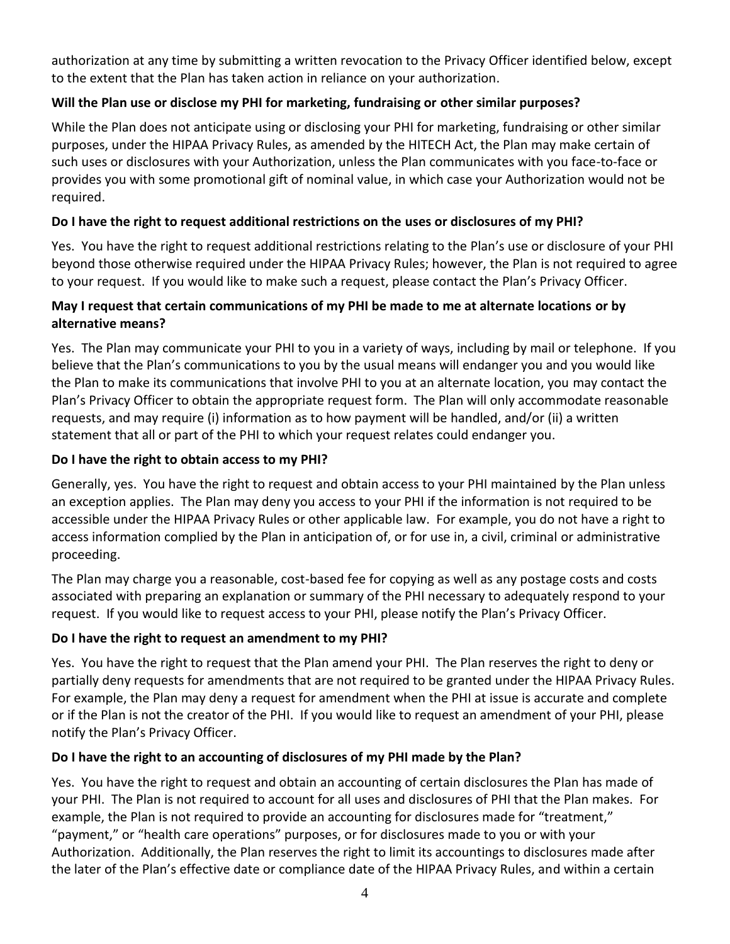authorization at any time by submitting a written revocation to the Privacy Officer identified below, except to the extent that the Plan has taken action in reliance on your authorization.

# **Will the Plan use or disclose my PHI for marketing, fundraising or other similar purposes?**

While the Plan does not anticipate using or disclosing your PHI for marketing, fundraising or other similar purposes, under the HIPAA Privacy Rules, as amended by the HITECH Act, the Plan may make certain of such uses or disclosures with your Authorization, unless the Plan communicates with you face-to-face or provides you with some promotional gift of nominal value, in which case your Authorization would not be required.

# **Do I have the right to request additional restrictions on the uses or disclosures of my PHI?**

Yes. You have the right to request additional restrictions relating to the Plan's use or disclosure of your PHI beyond those otherwise required under the HIPAA Privacy Rules; however, the Plan is not required to agree to your request. If you would like to make such a request, please contact the Plan's Privacy Officer.

# **May I request that certain communications of my PHI be made to me at alternate locations or by alternative means?**

Yes. The Plan may communicate your PHI to you in a variety of ways, including by mail or telephone. If you believe that the Plan's communications to you by the usual means will endanger you and you would like the Plan to make its communications that involve PHI to you at an alternate location, you may contact the Plan's Privacy Officer to obtain the appropriate request form. The Plan will only accommodate reasonable requests, and may require (i) information as to how payment will be handled, and/or (ii) a written statement that all or part of the PHI to which your request relates could endanger you.

## **Do I have the right to obtain access to my PHI?**

Generally, yes. You have the right to request and obtain access to your PHI maintained by the Plan unless an exception applies. The Plan may deny you access to your PHI if the information is not required to be accessible under the HIPAA Privacy Rules or other applicable law. For example, you do not have a right to access information complied by the Plan in anticipation of, or for use in, a civil, criminal or administrative proceeding.

The Plan may charge you a reasonable, cost-based fee for copying as well as any postage costs and costs associated with preparing an explanation or summary of the PHI necessary to adequately respond to your request. If you would like to request access to your PHI, please notify the Plan's Privacy Officer.

# **Do I have the right to request an amendment to my PHI?**

Yes. You have the right to request that the Plan amend your PHI. The Plan reserves the right to deny or partially deny requests for amendments that are not required to be granted under the HIPAA Privacy Rules. For example, the Plan may deny a request for amendment when the PHI at issue is accurate and complete or if the Plan is not the creator of the PHI. If you would like to request an amendment of your PHI, please notify the Plan's Privacy Officer.

# **Do I have the right to an accounting of disclosures of my PHI made by the Plan?**

Yes. You have the right to request and obtain an accounting of certain disclosures the Plan has made of your PHI. The Plan is not required to account for all uses and disclosures of PHI that the Plan makes. For example, the Plan is not required to provide an accounting for disclosures made for "treatment," "payment," or "health care operations" purposes, or for disclosures made to you or with your Authorization. Additionally, the Plan reserves the right to limit its accountings to disclosures made after the later of the Plan's effective date or compliance date of the HIPAA Privacy Rules, and within a certain